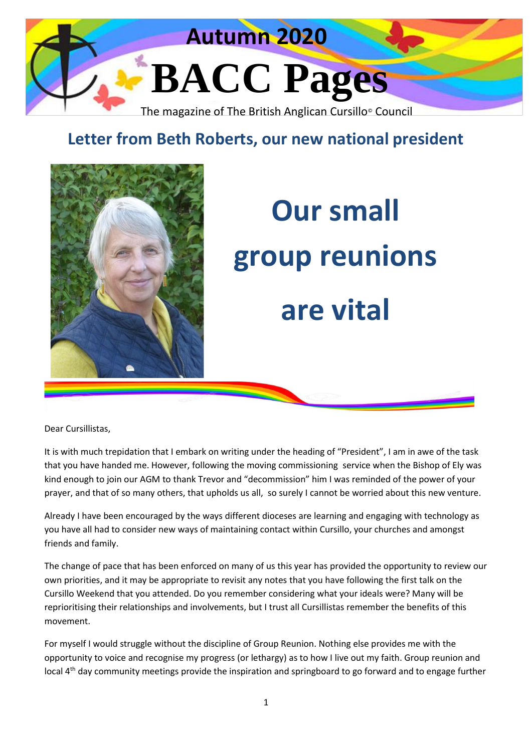

## **Letter from Beth Roberts, our new national president**



# **Our small group reunions are vital**

Dear Cursillistas,

It is with much trepidation that I embark on writing under the heading of "President", I am in awe of the task that you have handed me. However, following the moving commissioning service when the Bishop of Ely was kind enough to join our AGM to thank Trevor and "decommission" him I was reminded of the power of your prayer, and that of so many others, that upholds us all, so surely I cannot be worried about this new venture.

Already I have been encouraged by the ways different dioceses are learning and engaging with technology as you have all had to consider new ways of maintaining contact within Cursillo, your churches and amongst friends and family.

The change of pace that has been enforced on many of us this year has provided the opportunity to review our own priorities, and it may be appropriate to revisit any notes that you have following the first talk on the Cursillo Weekend that you attended. Do you remember considering what your ideals were? Many will be reprioritising their relationships and involvements, but I trust all Cursillistas remember the benefits of this movement.

For myself I would struggle without the discipline of Group Reunion. Nothing else provides me with the opportunity to voice and recognise my progress (or lethargy) as to how I live out my faith. Group reunion and local 4<sup>th</sup> day community meetings provide the inspiration and springboard to go forward and to engage further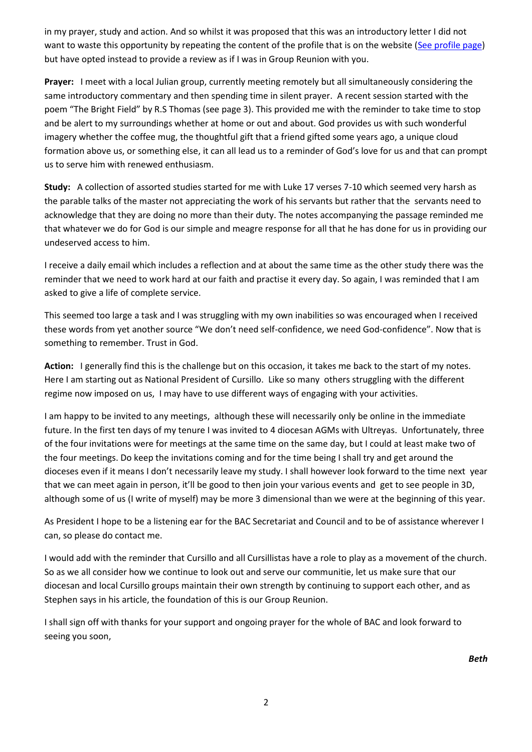in my prayer, study and action. And so whilst it was proposed that this was an introductory letter I did not want to waste this opportunity by repeating the content of the profile that is on the website [\(See profile page\)](file:///C:/Users/ejrbe/AppData/Local/Microsoft/Windows/INetCache/Content.Outlook/K608IBO2/See%20profile%20page) but have opted instead to provide a review as if I was in Group Reunion with you.

**Prayer:** I meet with a local Julian group, currently meeting remotely but all simultaneously considering the same introductory commentary and then spending time in silent prayer. A recent session started with the poem "The Bright Field" by R.S Thomas (see page 3). This provided me with the reminder to take time to stop and be alert to my surroundings whether at home or out and about. God provides us with such wonderful imagery whether the coffee mug, the thoughtful gift that a friend gifted some years ago, a unique cloud formation above us, or something else, it can all lead us to a reminder of God's love for us and that can prompt us to serve him with renewed enthusiasm.

**Study:** A collection of assorted studies started for me with Luke 17 verses 7-10 which seemed very harsh as the parable talks of the master not appreciating the work of his servants but rather that the servants need to acknowledge that they are doing no more than their duty. The notes accompanying the passage reminded me that whatever we do for God is our simple and meagre response for all that he has done for us in providing our undeserved access to him.

I receive a daily email which includes a reflection and at about the same time as the other study there was the reminder that we need to work hard at our faith and practise it every day. So again, I was reminded that I am asked to give a life of complete service.

This seemed too large a task and I was struggling with my own inabilities so was encouraged when I received these words from yet another source "We don't need self-confidence, we need God-confidence". Now that is something to remember. Trust in God.

**Action:** I generally find this is the challenge but on this occasion, it takes me back to the start of my notes. Here I am starting out as National President of Cursillo. Like so many others struggling with the different regime now imposed on us, I may have to use different ways of engaging with your activities.

I am happy to be invited to any meetings, although these will necessarily only be online in the immediate future. In the first ten days of my tenure I was invited to 4 diocesan AGMs with Ultreyas. Unfortunately, three of the four invitations were for meetings at the same time on the same day, but I could at least make two of the four meetings. Do keep the invitations coming and for the time being I shall try and get around the dioceses even if it means I don't necessarily leave my study. I shall however look forward to the time next year that we can meet again in person, it'll be good to then join your various events and get to see people in 3D, although some of us (I write of myself) may be more 3 dimensional than we were at the beginning of this year.

As President I hope to be a listening ear for the BAC Secretariat and Council and to be of assistance wherever I can, so please do contact me.

I would add with the reminder that Cursillo and all Cursillistas have a role to play as a movement of the church. So as we all consider how we continue to look out and serve our communitie, let us make sure that our diocesan and local Cursillo groups maintain their own strength by continuing to support each other, and as Stephen says in his article, the foundation of this is our Group Reunion.

I shall sign off with thanks for your support and ongoing prayer for the whole of BAC and look forward to seeing you soon,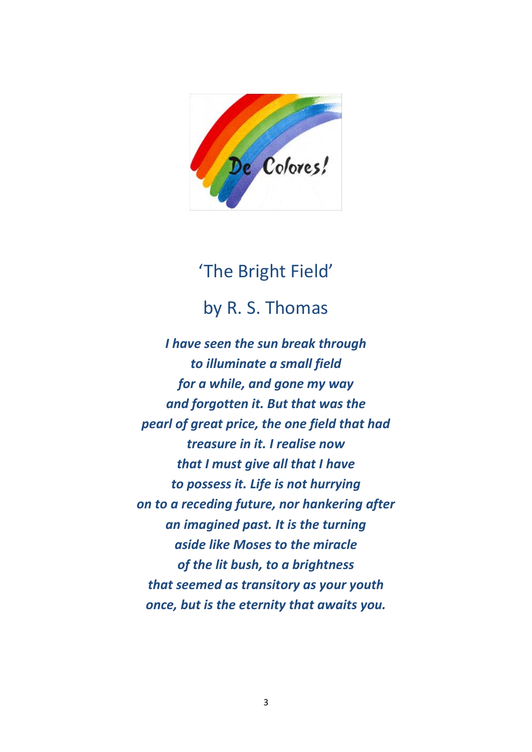

## 'The Bright Field' by R. S. Thomas

*I have seen the sun break through to illuminate a small field for a while, and gone my way and forgotten it. But that was the pearl of great price, the one field that had treasure in it. I realise now that I must give all that I have to possess it. Life is not hurrying on to a receding future, nor hankering after an imagined past. It is the turning aside like Moses to the miracle of the lit bush, to a brightness that seemed as transitory as your youth once, but is the eternity that awaits you.*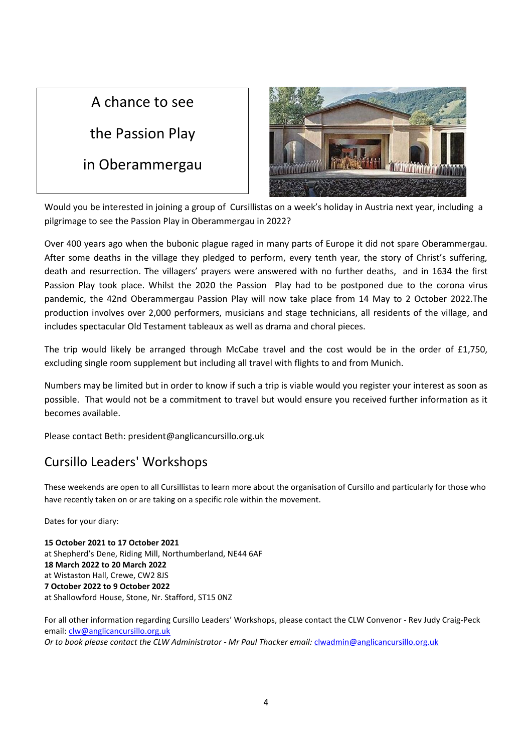### A chance to see

the Passion Play

in Oberammergau



Would you be interested in joining a group of Cursillistas on a week's holiday in Austria next year, including a pilgrimage to see the Passion Play in Oberammergau in 2022?

Over 400 years ago when the bubonic plague raged in many parts of Europe it did not spare Oberammergau. After some deaths in the village they pledged to perform, every tenth year, the story of Christ's suffering, death and resurrection. The villagers' prayers were answered with no further deaths, and in 1634 the first Passion Play took place. Whilst the 2020 the Passion Play had to be postponed due to the corona virus pandemic, the 42nd Oberammergau Passion Play will now take place from 14 May to 2 October 2022.The production involves over 2,000 performers, musicians and stage technicians, all residents of the village, and includes spectacular Old Testament tableaux as well as drama and choral pieces.

The trip would likely be arranged through McCabe travel and the cost would be in the order of £1,750, excluding single room supplement but including all travel with flights to and from Munich.

Numbers may be limited but in order to know if such a trip is viable would you register your interest as soon as possible. That would not be a commitment to travel but would ensure you received further information as it becomes available.

Please contact Beth: president@anglicancursillo.org.uk

### Cursillo Leaders' Workshops

These weekends are open to all Cursillistas to learn more about the organisation of Cursillo and particularly for those who have recently taken on or are taking on a specific role within the movement.

Dates for your diary:

**15 October 2021 to 17 October 2021** at Shepherd's Dene, Riding Mill, Northumberland, NE44 6AF **18 March 2022 to 20 March 2022** at Wistaston Hall, Crewe, CW2 8JS **7 October 2022 to 9 October 2022** at Shallowford House, Stone, Nr. Stafford, ST15 0NZ

For all other information regarding Cursillo Leaders' Workshops, please contact the CLW Convenor - Rev Judy Craig-Peck email: [clw@anglicancursillo.org.uk](mailto:clw@anglicancursillo.org.uk) *Or to book please contact the CLW Administrator - Mr Paul Thacker email:* [clwadmin@anglicancursillo.org.uk](mailto:clwadmin@anglicancursillo.org.uk)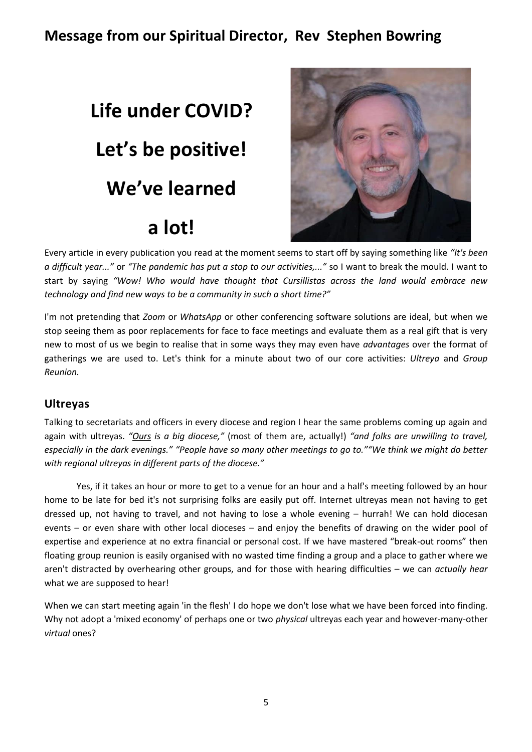### **Message from our Spiritual Director, Rev Stephen Bowring**

## **Life under COVID? Let's be positive! We've learned a lot!**



Every article in every publication you read at the moment seems to start off by saying something like *"It's been a difficult year..."* or *"The pandemic has put a stop to our activities,..."* so I want to break the mould. I want to start by saying *"Wow! Who would have thought that Cursillistas across the land would embrace new technology and find new ways to be a community in such a short time?"*

I'm not pretending that *Zoom* or *WhatsApp* or other conferencing software solutions are ideal, but when we stop seeing them as poor replacements for face to face meetings and evaluate them as a real gift that is very new to most of us we begin to realise that in some ways they may even have *advantages* over the format of gatherings we are used to. Let's think for a minute about two of our core activities: *Ultreya* and *Group Reunion.*

#### **Ultreyas**

Talking to secretariats and officers in every diocese and region I hear the same problems coming up again and again with ultreyas. *"Ours is a big diocese,"* (most of them are, actually!) *"and folks are unwilling to travel, especially in the dark evenings." "People have so many other meetings to go to.""We think we might do better with regional ultreyas in different parts of the diocese."* 

Yes, if it takes an hour or more to get to a venue for an hour and a half's meeting followed by an hour home to be late for bed it's not surprising folks are easily put off. Internet ultreyas mean not having to get dressed up, not having to travel, and not having to lose a whole evening – hurrah! We can hold diocesan events – or even share with other local dioceses – and enjoy the benefits of drawing on the wider pool of expertise and experience at no extra financial or personal cost. If we have mastered "break-out rooms" then floating group reunion is easily organised with no wasted time finding a group and a place to gather where we aren't distracted by overhearing other groups, and for those with hearing difficulties – we can *actually hear* what we are supposed to hear!

When we can start meeting again 'in the flesh' I do hope we don't lose what we have been forced into finding. Why not adopt a 'mixed economy' of perhaps one or two *physical* ultreyas each year and however-many-other *virtual* ones?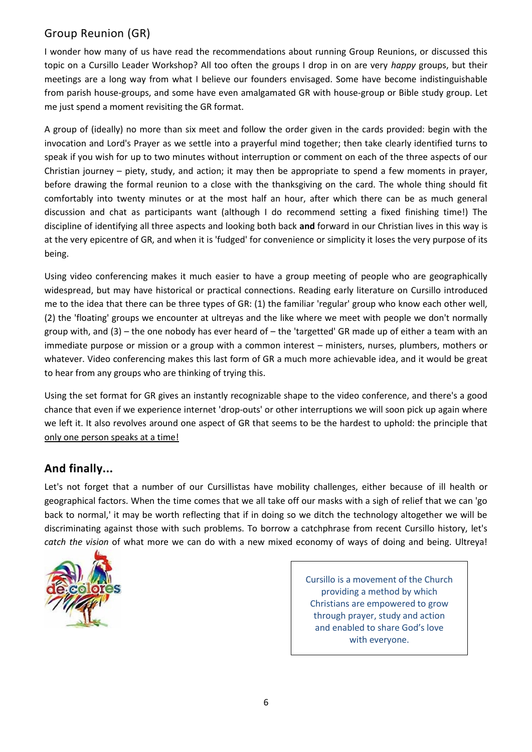#### Group Reunion (GR)

I wonder how many of us have read the recommendations about running Group Reunions, or discussed this topic on a Cursillo Leader Workshop? All too often the groups I drop in on are very *happy* groups, but their meetings are a long way from what I believe our founders envisaged. Some have become indistinguishable from parish house-groups, and some have even amalgamated GR with house-group or Bible study group. Let me just spend a moment revisiting the GR format.

A group of (ideally) no more than six meet and follow the order given in the cards provided: begin with the invocation and Lord's Prayer as we settle into a prayerful mind together; then take clearly identified turns to speak if you wish for up to two minutes without interruption or comment on each of the three aspects of our Christian journey – piety, study, and action; it may then be appropriate to spend a few moments in prayer, before drawing the formal reunion to a close with the thanksgiving on the card. The whole thing should fit comfortably into twenty minutes or at the most half an hour, after which there can be as much general discussion and chat as participants want (although I do recommend setting a fixed finishing time!) The discipline of identifying all three aspects and looking both back **and** forward in our Christian lives in this way is at the very epicentre of GR, and when it is 'fudged' for convenience or simplicity it loses the very purpose of its being.

Using video conferencing makes it much easier to have a group meeting of people who are geographically widespread, but may have historical or practical connections. Reading early literature on Cursillo introduced me to the idea that there can be three types of GR: (1) the familiar 'regular' group who know each other well, (2) the 'floating' groups we encounter at ultreyas and the like where we meet with people we don't normally group with, and (3) – the one nobody has ever heard of – the 'targetted' GR made up of either a team with an immediate purpose or mission or a group with a common interest – ministers, nurses, plumbers, mothers or whatever. Video conferencing makes this last form of GR a much more achievable idea, and it would be great to hear from any groups who are thinking of trying this.

Using the set format for GR gives an instantly recognizable shape to the video conference, and there's a good chance that even if we experience internet 'drop-outs' or other interruptions we will soon pick up again where we left it. It also revolves around one aspect of GR that seems to be the hardest to uphold: the principle that only one person speaks at a time!

#### **And finally...**

Let's not forget that a number of our Cursillistas have mobility challenges, either because of ill health or geographical factors. When the time comes that we all take off our masks with a sigh of relief that we can 'go back to normal,' it may be worth reflecting that if in doing so we ditch the technology altogether we will be discriminating against those with such problems. To borrow a catchphrase from recent Cursillo history, let's *catch the vision* of what more we can do with a new mixed economy of ways of doing and being. Ultreya!



Cursillo is a movement of the Church providing a method by which Christians are empowered to grow through prayer, study and action and enabled to share God's love with everyone.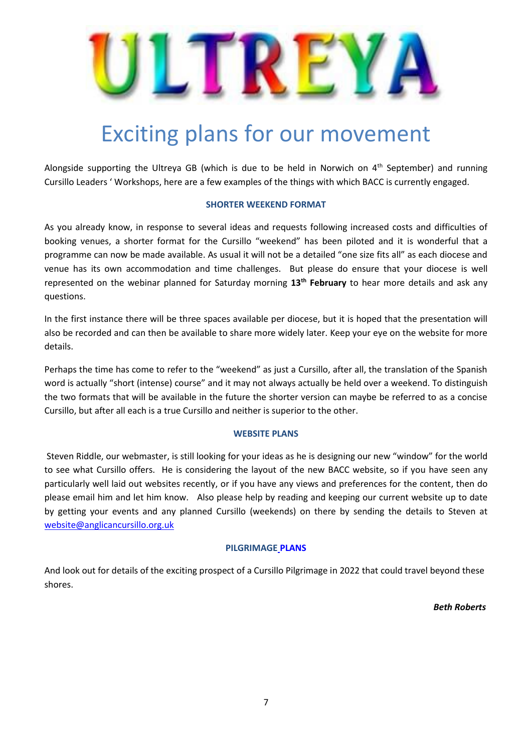

## Exciting plans for our movement

Alongside supporting the Ultreya GB (which is due to be held in Norwich on 4<sup>th</sup> September) and running Cursillo Leaders ' Workshops, here are a few examples of the things with which BACC is currently engaged.

#### **SHORTER WEEKEND FORMAT**

As you already know, in response to several ideas and requests following increased costs and difficulties of booking venues, a shorter format for the Cursillo "weekend" has been piloted and it is wonderful that a programme can now be made available. As usual it will not be a detailed "one size fits all" as each diocese and venue has its own accommodation and time challenges. But please do ensure that your diocese is well represented on the webinar planned for Saturday morning **13th February** to hear more details and ask any questions.

In the first instance there will be three spaces available per diocese, but it is hoped that the presentation will also be recorded and can then be available to share more widely later. Keep your eye on the website for more details.

Perhaps the time has come to refer to the "weekend" as just a Cursillo, after all, the translation of the Spanish word is actually "short (intense) course" and it may not always actually be held over a weekend. To distinguish the two formats that will be available in the future the shorter version can maybe be referred to as a concise Cursillo, but after all each is a true Cursillo and neither is superior to the other.

#### **WEBSITE PLANS**

Steven Riddle, our webmaster, is still looking for your ideas as he is designing our new "window" for the world to see what Cursillo offers. He is considering the layout of the new BACC website, so if you have seen any particularly well laid out websites recently, or if you have any views and preferences for the content, then do please email him and let him know. Also please help by reading and keeping our current website up to date by getting your events and any planned Cursillo (weekends) on there by sending the details to Steven at [website@anglicancursillo.org.uk](mailto:website@anglicancursillo.org.uk)

#### **PILGRIMAGE PLANS**

And look out for details of the exciting prospect of a Cursillo Pilgrimage in 2022 that could travel beyond these shores.

*Beth Roberts*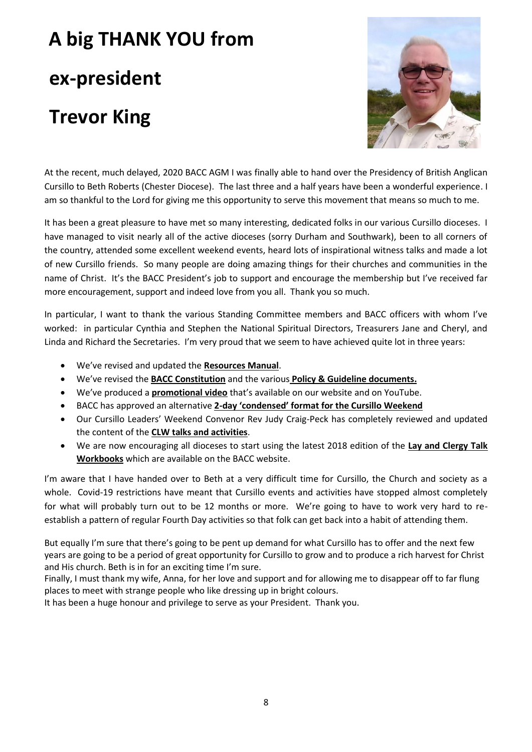## **A big THANK YOU from ex-president Trevor King**



At the recent, much delayed, 2020 BACC AGM I was finally able to hand over the Presidency of British Anglican Cursillo to Beth Roberts (Chester Diocese). The last three and a half years have been a wonderful experience. I am so thankful to the Lord for giving me this opportunity to serve this movement that means so much to me.

It has been a great pleasure to have met so many interesting, dedicated folks in our various Cursillo dioceses. I have managed to visit nearly all of the active dioceses (sorry Durham and Southwark), been to all corners of the country, attended some excellent weekend events, heard lots of inspirational witness talks and made a lot of new Cursillo friends. So many people are doing amazing things for their churches and communities in the name of Christ. It's the BACC President's job to support and encourage the membership but I've received far more encouragement, support and indeed love from you all. Thank you so much.

In particular, I want to thank the various Standing Committee members and BACC officers with whom I've worked: in particular Cynthia and Stephen the National Spiritual Directors, Treasurers Jane and Cheryl, and Linda and Richard the Secretaries. I'm very proud that we seem to have achieved quite lot in three years:

- We've revised and updated the **Resources Manual**.
- We've revised the **BACC Constitution** and the various **Policy & Guideline documents.**
- We've produced a **promotional video** that's available on our website and on YouTube.
- BACC has approved an alternative **2-day 'condensed' format for the Cursillo Weekend**
- Our Cursillo Leaders' Weekend Convenor Rev Judy Craig-Peck has completely reviewed and updated the content of the **CLW talks and activities**.
- We are now encouraging all dioceses to start using the latest 2018 edition of the **Lay and Clergy Talk Workbooks** which are available on the BACC website.

I'm aware that I have handed over to Beth at a very difficult time for Cursillo, the Church and society as a whole. Covid-19 restrictions have meant that Cursillo events and activities have stopped almost completely for what will probably turn out to be 12 months or more. We're going to have to work very hard to reestablish a pattern of regular Fourth Day activities so that folk can get back into a habit of attending them.

But equally I'm sure that there's going to be pent up demand for what Cursillo has to offer and the next few years are going to be a period of great opportunity for Cursillo to grow and to produce a rich harvest for Christ and His church. Beth is in for an exciting time I'm sure.

Finally, I must thank my wife, Anna, for her love and support and for allowing me to disappear off to far flung places to meet with strange people who like dressing up in bright colours.

It has been a huge honour and privilege to serve as your President. Thank you.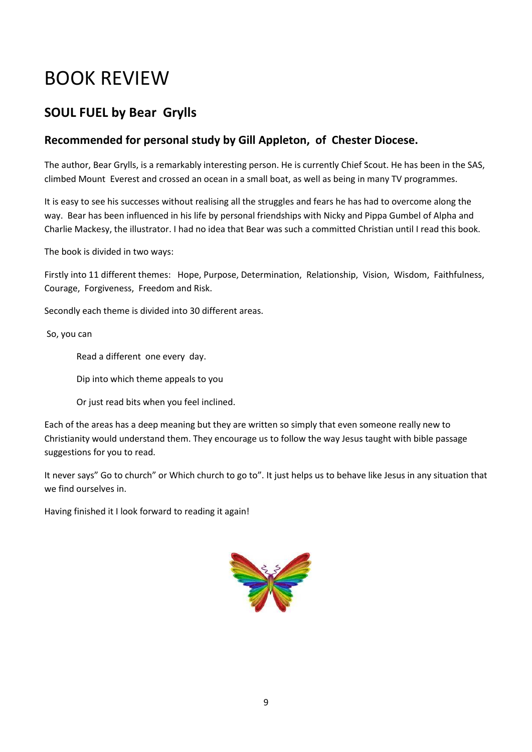## BOOK REVIEW

### **SOUL FUEL by Bear Grylls**

#### **Recommended for personal study by Gill Appleton, of Chester Diocese.**

The author, Bear Grylls, is a remarkably interesting person. He is currently Chief Scout. He has been in the SAS, climbed Mount Everest and crossed an ocean in a small boat, as well as being in many TV programmes.

It is easy to see his successes without realising all the struggles and fears he has had to overcome along the way. Bear has been influenced in his life by personal friendships with Nicky and Pippa Gumbel of Alpha and Charlie Mackesy, the illustrator. I had no idea that Bear was such a committed Christian until I read this book.

The book is divided in two ways:

Firstly into 11 different themes: Hope, Purpose, Determination, Relationship, Vision, Wisdom, Faithfulness, Courage, Forgiveness, Freedom and Risk.

Secondly each theme is divided into 30 different areas.

So, you can

Read a different one every day.

Dip into which theme appeals to you

Or just read bits when you feel inclined.

Each of the areas has a deep meaning but they are written so simply that even someone really new to Christianity would understand them. They encourage us to follow the way Jesus taught with bible passage suggestions for you to read.

It never says" Go to church" or Which church to go to". It just helps us to behave like Jesus in any situation that we find ourselves in.

Having finished it I look forward to reading it again!